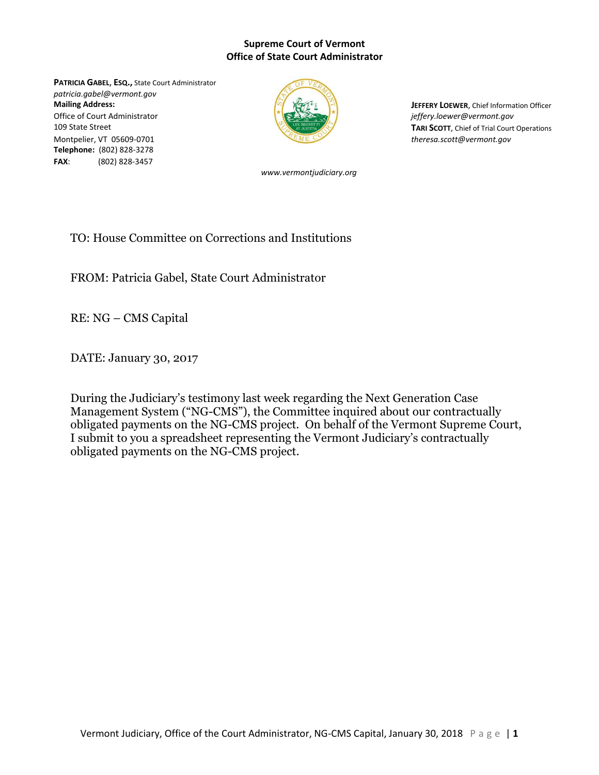## **Supreme Court of Vermont Office of State Court Administrator**

**PATRICIA GABEL**, **ESQ.,** State Court Administrator *patricia.gabel@vermont.gov* **Mailing Address: Joint Address: Joint Address: Joint Address: Joint Address: Joint Address: Joint Address: Joint Address: Joint Address: Joint Address: Joint Address: Joint Address: Joint Address:** Office of Court Administrator *jeffery.loewer@vermont.gov* **109 State Street <b>TARI SCOTT**, Chief of Trial Court Operations Montpelier, VT 05609-0701 *theresa.scott@vermont.gov* **Telephone:** (802) 828-3278 **FAX**: (802) 828-3457



*www.vermontjudiciary.org*

TO: House Committee on Corrections and Institutions

FROM: Patricia Gabel, State Court Administrator

RE: NG – CMS Capital

DATE: January 30, 2017

During the Judiciary's testimony last week regarding the Next Generation Case Management System ("NG-CMS"), the Committee inquired about our contractually obligated payments on the NG-CMS project. On behalf of the Vermont Supreme Court, I submit to you a spreadsheet representing the Vermont Judiciary's contractually obligated payments on the NG-CMS project.